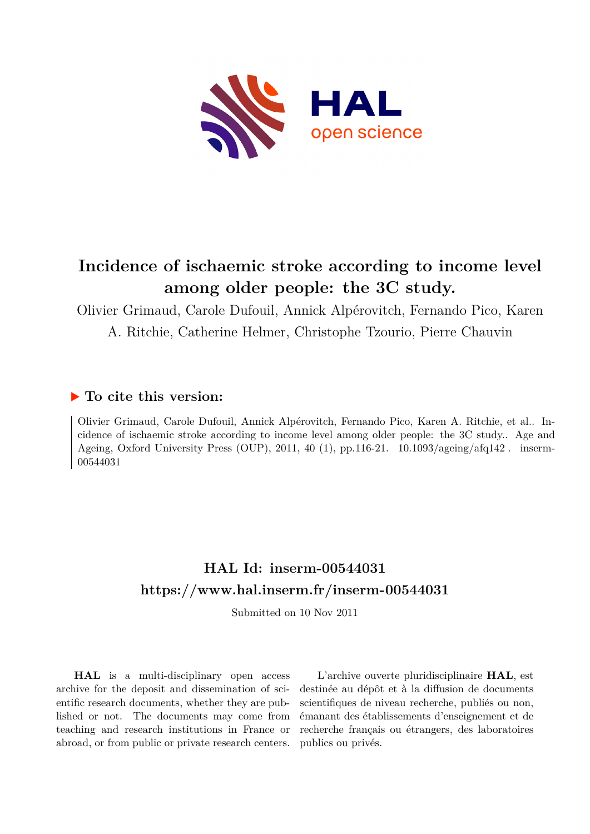

# **Incidence of ischaemic stroke according to income level among older people: the 3C study.**

Olivier Grimaud, Carole Dufouil, Annick Alpérovitch, Fernando Pico, Karen A. Ritchie, Catherine Helmer, Christophe Tzourio, Pierre Chauvin

## **To cite this version:**

Olivier Grimaud, Carole Dufouil, Annick Alpérovitch, Fernando Pico, Karen A. Ritchie, et al.. Incidence of ischaemic stroke according to income level among older people: the 3C study.. Age and Ageing, Oxford University Press (OUP), 2011, 40 (1), pp.116-21.  $10.1093/$ ageing/afq142. inserm-00544031

# **HAL Id: inserm-00544031 <https://www.hal.inserm.fr/inserm-00544031>**

Submitted on 10 Nov 2011

**HAL** is a multi-disciplinary open access archive for the deposit and dissemination of scientific research documents, whether they are published or not. The documents may come from teaching and research institutions in France or abroad, or from public or private research centers.

L'archive ouverte pluridisciplinaire **HAL**, est destinée au dépôt et à la diffusion de documents scientifiques de niveau recherche, publiés ou non, émanant des établissements d'enseignement et de recherche français ou étrangers, des laboratoires publics ou privés.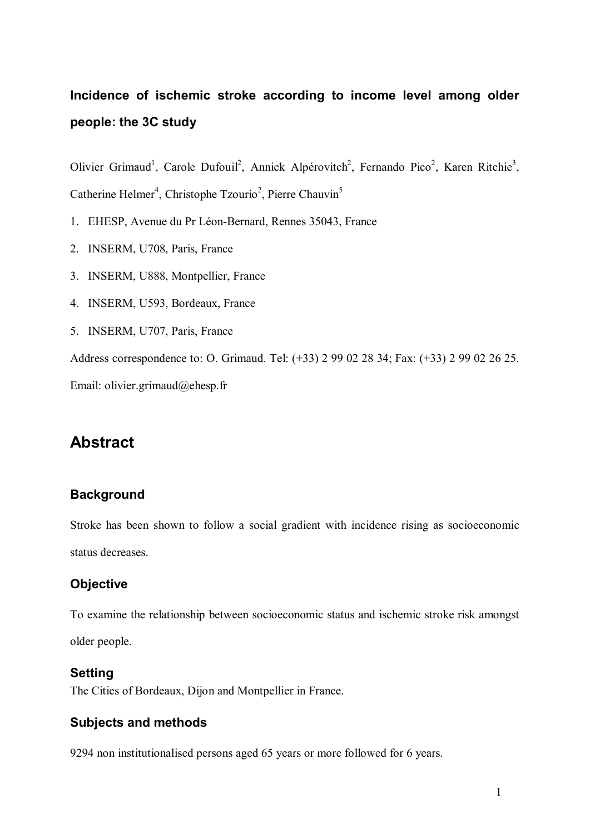# **Incidence of ischemic stroke according to income level among older people: the 3C study**

Olivier Grimaud<sup>1</sup>, Carole Dufouil<sup>2</sup>, Annick Alpérovitch<sup>2</sup>, Fernando Pico<sup>2</sup>, Karen Ritchie<sup>3</sup>, Catherine Helmer<sup>4</sup>, Christophe Tzourio<sup>2</sup>, Pierre Chauvin<sup>5</sup>

- 1. EHESP, Avenue du Pr Léon-Bernard, Rennes 35043, France
- 2. INSERM, U708, Paris, France
- 3. INSERM, U888, Montpellier, France
- 4. INSERM, U593, Bordeaux, France
- 5. INSERM, U707, Paris, France

Address correspondence to: O. Grimaud. Tel: (+33) 2 99 02 28 34; Fax: (+33) 2 99 02 26 25.

Email: olivier.grimaud@ehesp.fr

# **Abstract**

### **Background**

Stroke has been shown to follow a social gradient with incidence rising as socioeconomic status decreases.

### **Objective**

To examine the relationship between socioeconomic status and ischemic stroke risk amongst older people.

#### **Setting**

The Cities of Bordeaux, Dijon and Montpellier in France.

### **Subjects and methods**

9294 non institutionalised persons aged 65 years or more followed for 6 years.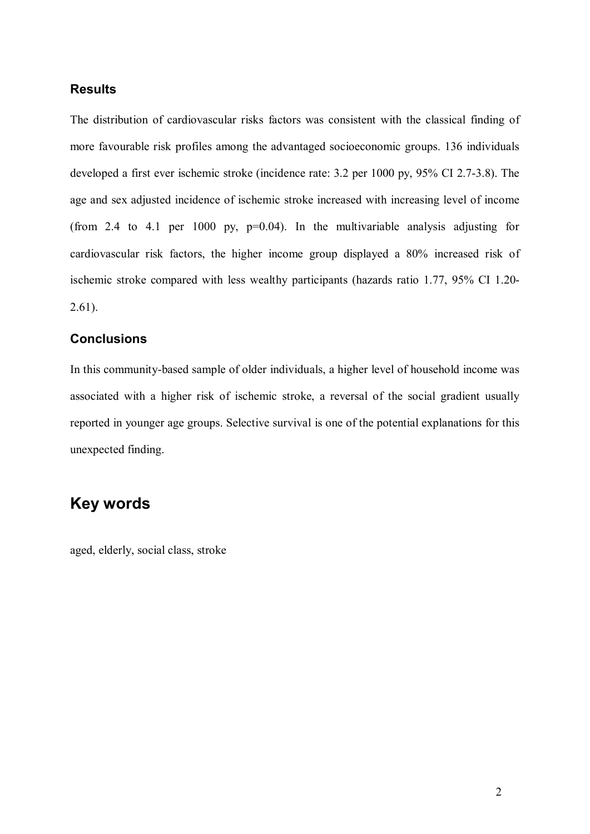#### **Results**

The distribution of cardiovascular risks factors was consistent with the classical finding of more favourable risk profiles among the advantaged socioeconomic groups. 136 individuals developed a first ever ischemic stroke (incidence rate: 3.2 per 1000 py, 95% CI 2.7-3.8). The age and sex adjusted incidence of ischemic stroke increased with increasing level of income (from 2.4 to 4.1 per 1000 py,  $p=0.04$ ). In the multivariable analysis adjusting for cardiovascular risk factors, the higher income group displayed a 80% increased risk of ischemic stroke compared with less wealthy participants (hazards ratio 1.77, 95% CI 1.20- 2.61).

### **Conclusions**

In this community-based sample of older individuals, a higher level of household income was associated with a higher risk of ischemic stroke, a reversal of the social gradient usually reported in younger age groups. Selective survival is one of the potential explanations for this unexpected finding.

## **Key words**

aged, elderly, social class, stroke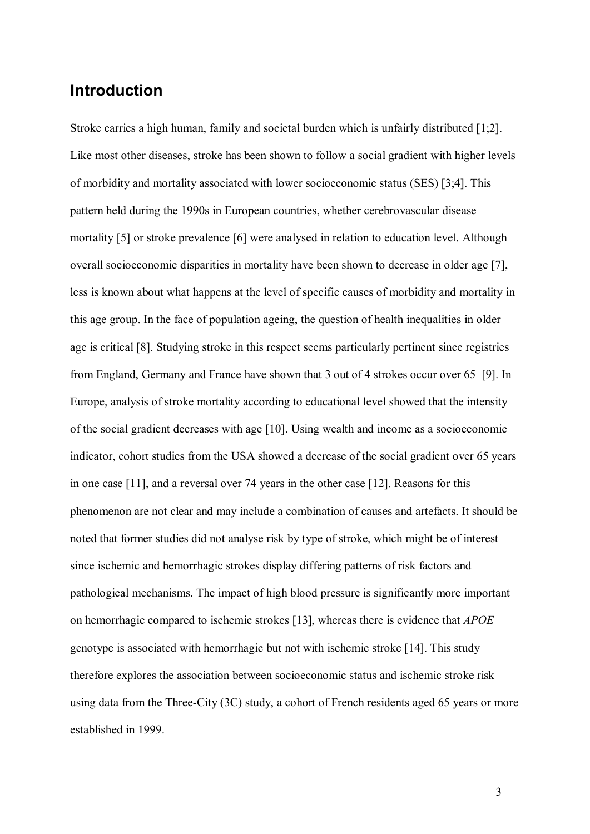## **Introduction**

Stroke carries a high human, family and societal burden which is unfairly distributed [1;2]. Like most other diseases, stroke has been shown to follow a social gradient with higher levels of morbidity and mortality associated with lower socioeconomic status (SES) [3;4]. This pattern held during the 1990s in European countries, whether cerebrovascular disease mortality [5] or stroke prevalence [6] were analysed in relation to education level. Although overall socioeconomic disparities in mortality have been shown to decrease in older age [7], less is known about what happens at the level of specific causes of morbidity and mortality in this age group. In the face of population ageing, the question of health inequalities in older age is critical [8]. Studying stroke in this respect seems particularly pertinent since registries from England, Germany and France have shown that 3 out of 4 strokes occur over 65 [9]. In Europe, analysis of stroke mortality according to educational level showed that the intensity of the social gradient decreases with age [10]. Using wealth and income as a socioeconomic indicator, cohort studies from the USA showed a decrease of the social gradient over 65 years in one case [11], and a reversal over 74 years in the other case [12]. Reasons for this phenomenon are not clear and may include a combination of causes and artefacts. It should be noted that former studies did not analyse risk by type of stroke, which might be of interest since ischemic and hemorrhagic strokes display differing patterns of risk factors and pathological mechanisms. The impact of high blood pressure is significantly more important on hemorrhagic compared to ischemic strokes [13], whereas there is evidence that *APOE* genotype is associated with hemorrhagic but not with ischemic stroke [14]. This study therefore explores the association between socioeconomic status and ischemic stroke risk using data from the Three-City (3C) study, a cohort of French residents aged 65 years or more established in 1999.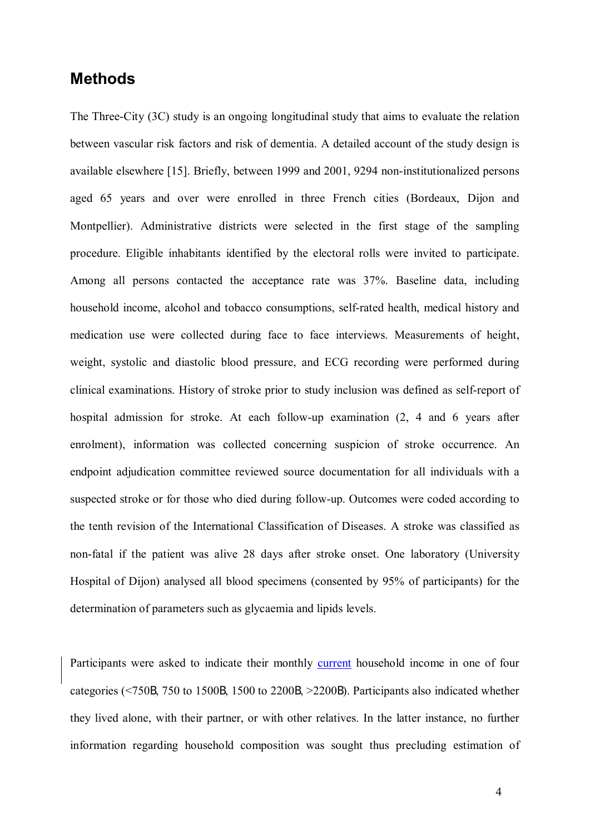## **Methods**

The Three-City (3C) study is an ongoing longitudinal study that aims to evaluate the relation between vascular risk factors and risk of dementia. A detailed account of the study design is available elsewhere [15]. Briefly, between 1999 and 2001, 9294 non-institutionalized persons aged 65 years and over were enrolled in three French cities (Bordeaux, Dijon and Montpellier). Administrative districts were selected in the first stage of the sampling procedure. Eligible inhabitants identified by the electoral rolls were invited to participate. Among all persons contacted the acceptance rate was 37%. Baseline data, including household income, alcohol and tobacco consumptions, self-rated health, medical history and medication use were collected during face to face interviews. Measurements of height, weight, systolic and diastolic blood pressure, and ECG recording were performed during clinical examinations. History of stroke prior to study inclusion was defined as self-report of hospital admission for stroke. At each follow-up examination (2, 4 and 6 years after enrolment), information was collected concerning suspicion of stroke occurrence. An endpoint adjudication committee reviewed source documentation for all individuals with a suspected stroke or for those who died during follow-up. Outcomes were coded according to the tenth revision of the International Classification of Diseases. A stroke was classified as non-fatal if the patient was alive 28 days after stroke onset. One laboratory (University Hospital of Dijon) analysed all blood specimens (consented by 95% of participants) for the determination of parameters such as glycaemia and lipids levels.

Participants were asked to indicate their monthly current household income in one of four categories (<750€, 750 to 1500€, 1500 to 2200€, >2200€). Participants also indicated whether they lived alone, with their partner, or with other relatives. In the latter instance, no further information regarding household composition was sought thus precluding estimation of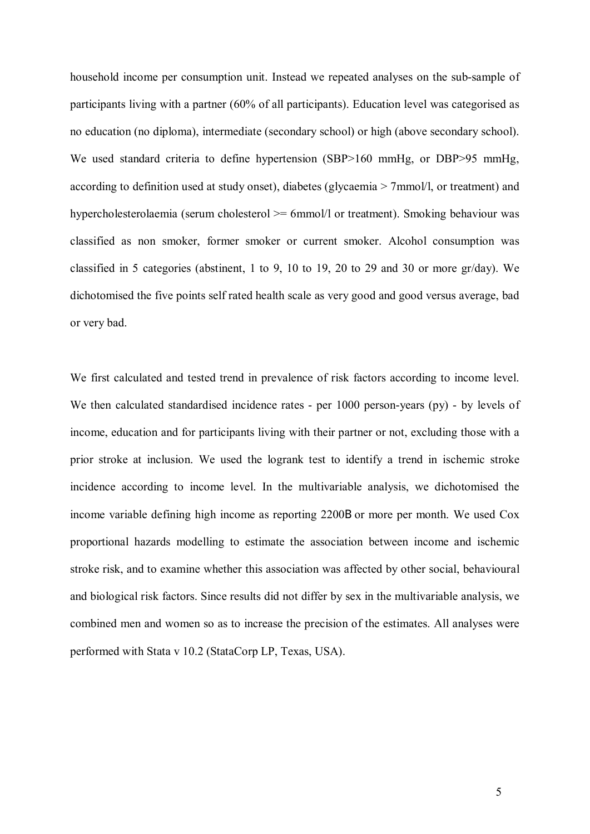household income per consumption unit. Instead we repeated analyses on the sub-sample of participants living with a partner (60% of all participants). Education level was categorised as no education (no diploma), intermediate (secondary school) or high (above secondary school). We used standard criteria to define hypertension (SBP>160 mmHg, or DBP>95 mmHg, according to definition used at study onset), diabetes (glycaemia > 7mmol/l, or treatment) and hypercholesterolaemia (serum cholesterol  $\ge$  = 6mmol/l or treatment). Smoking behaviour was classified as non smoker, former smoker or current smoker. Alcohol consumption was classified in 5 categories (abstinent, 1 to 9, 10 to 19, 20 to 29 and 30 or more gr/day). We dichotomised the five points self rated health scale as very good and good versus average, bad or very bad.

We first calculated and tested trend in prevalence of risk factors according to income level. We then calculated standardised incidence rates - per 1000 person-years (py) - by levels of income, education and for participants living with their partner or not, excluding those with a prior stroke at inclusion. We used the logrank test to identify a trend in ischemic stroke incidence according to income level. In the multivariable analysis, we dichotomised the income variable defining high income as reporting 2200B or more per month. We used Cox proportional hazards modelling to estimate the association between income and ischemic stroke risk, and to examine whether this association was affected by other social, behavioural and biological risk factors. Since results did not differ by sex in the multivariable analysis, we combined men and women so as to increase the precision of the estimates. All analyses were performed with Stata v 10.2 (StataCorp LP, Texas, USA).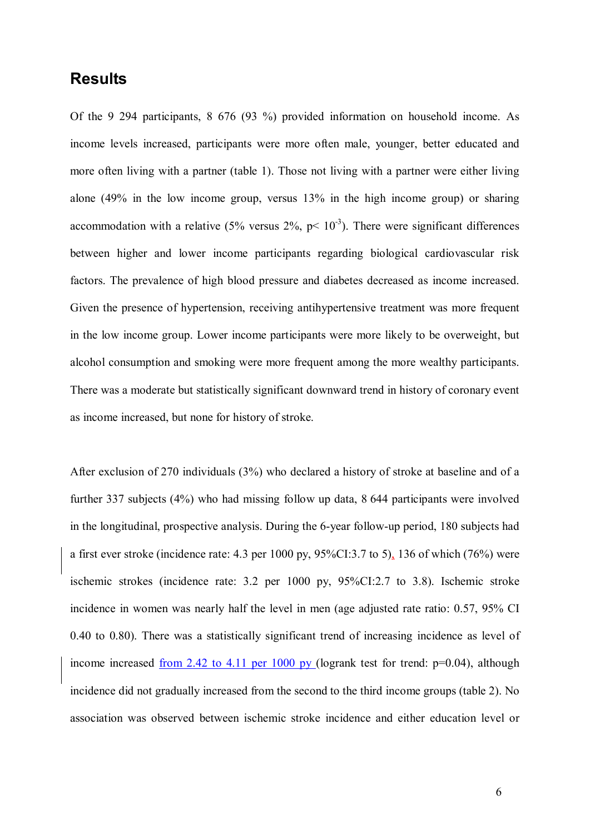## **Results**

Of the 9 294 participants, 8 676 (93 %) provided information on household income. As income levels increased, participants were more often male, younger, better educated and more often living with a partner (table 1). Those not living with a partner were either living alone (49% in the low income group, versus 13% in the high income group) or sharing accommodation with a relative (5% versus 2%,  $p< 10^{-3}$ ). There were significant differences between higher and lower income participants regarding biological cardiovascular risk factors. The prevalence of high blood pressure and diabetes decreased as income increased. Given the presence of hypertension, receiving antihypertensive treatment was more frequent in the low income group. Lower income participants were more likely to be overweight, but alcohol consumption and smoking were more frequent among the more wealthy participants. There was a moderate but statistically significant downward trend in history of coronary event as income increased, but none for history of stroke.

After exclusion of 270 individuals (3%) who declared a history of stroke at baseline and of a further 337 subjects (4%) who had missing follow up data, 8 644 participants were involved in the longitudinal, prospective analysis. During the 6-year follow-up period, 180 subjects had a first ever stroke (incidence rate: 4.3 per 1000 py, 95%CI:3.7 to 5), 136 of which (76%) were ischemic strokes (incidence rate: 3.2 per 1000 py, 95%CI:2.7 to 3.8). Ischemic stroke incidence in women was nearly half the level in men (age adjusted rate ratio: 0.57, 95% CI 0.40 to 0.80). There was a statistically significant trend of increasing incidence as level of income increased <u>from 2.42 to 4.11 per 1000 py</u> (logrank test for trend:  $p=0.04$ ), although incidence did not gradually increased from the second to the third income groups (table 2). No association was observed between ischemic stroke incidence and either education level or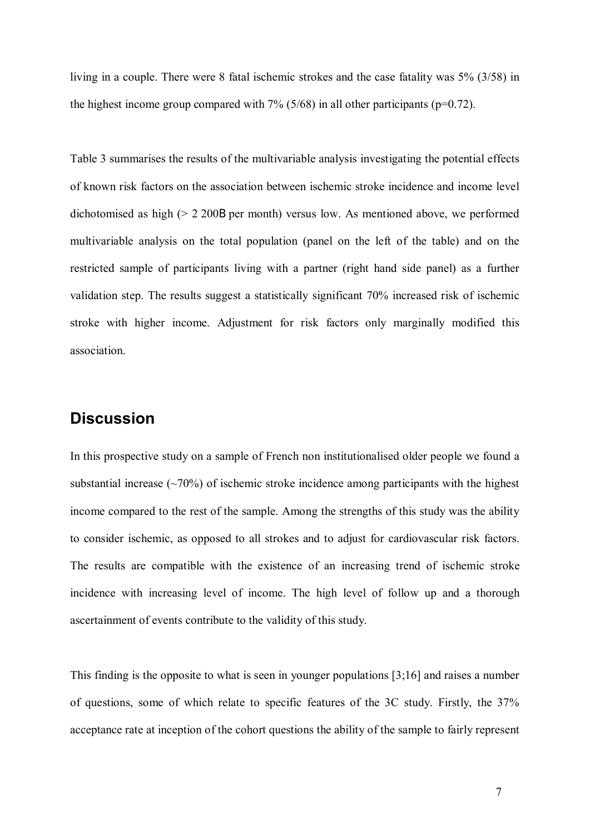living in a couple. There were 8 fatal ischemic strokes and the case fatality was 5% (3/58) in the highest income group compared with  $7\%$  (5/68) in all other participants (p=0.72).

Table 3 summarises the results of the multivariable analysis investigating the potential effects of known risk factors on the association between ischemic stroke incidence and income level dichotomised as high (> 2 200€ per month) versus low. As mentioned above, we performed multivariable analysis on the total population (panel on the left of the table) and on the restricted sample of participants living with a partner (right hand side panel) as a further validation step. The results suggest a statistically significant 70% increased risk of ischemic stroke with higher income. Adjustment for risk factors only marginally modified this association.

## **Discussion**

In this prospective study on a sample of French non institutionalised older people we found a substantial increase  $(\sim 70\%)$  of ischemic stroke incidence among participants with the highest income compared to the rest of the sample. Among the strengths of this study was the ability to consider ischemic, as opposed to all strokes and to adjust for cardiovascular risk factors. The results are compatible with the existence of an increasing trend of ischemic stroke incidence with increasing level of income. The high level of follow up and a thorough ascertainment of events contribute to the validity of this study.

This finding is the opposite to what is seen in younger populations [3;16] and raises a number of questions, some of which relate to specific features of the 3C study. Firstly, the 37% acceptance rate at inception of the cohort questions the ability of the sample to fairly represent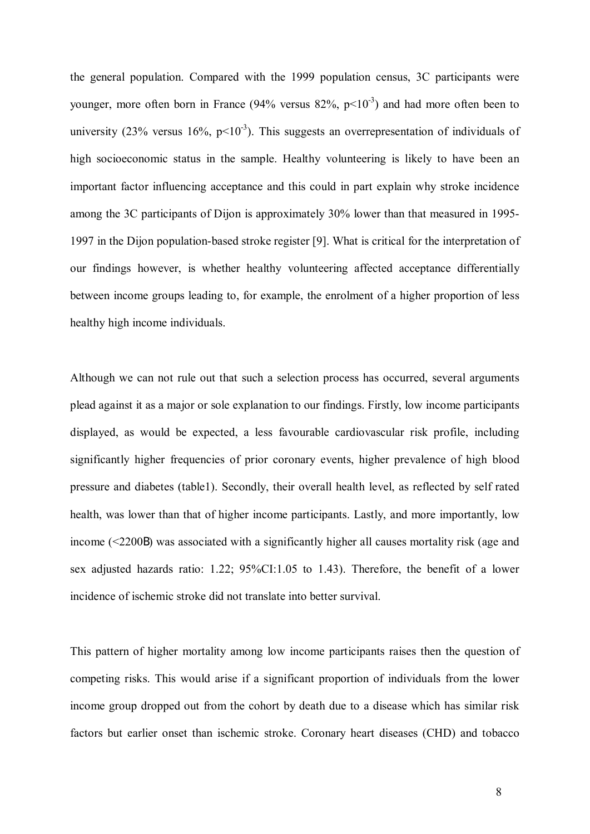the general population. Compared with the 1999 population census, 3C participants were younger, more often born in France (94% versus  $82\%$ ,  $p<10^{-3}$ ) and had more often been to university (23% versus  $16\%$ , p<10<sup>-3</sup>). This suggests an overrepresentation of individuals of high socioeconomic status in the sample. Healthy volunteering is likely to have been an important factor influencing acceptance and this could in part explain why stroke incidence among the 3C participants of Dijon is approximately 30% lower than that measured in 1995- 1997 in the Dijon population-based stroke register [9]. What is critical for the interpretation of our findings however, is whether healthy volunteering affected acceptance differentially between income groups leading to, for example, the enrolment of a higher proportion of less healthy high income individuals.

Although we can not rule out that such a selection process has occurred, several arguments plead against it as a major or sole explanation to our findings. Firstly, low income participants displayed, as would be expected, a less favourable cardiovascular risk profile, including significantly higher frequencies of prior coronary events, higher prevalence of high blood pressure and diabetes (table1). Secondly, their overall health level, as reflected by self rated health, was lower than that of higher income participants. Lastly, and more importantly, low income (<2200€) was associated with a significantly higher all causes mortality risk (age and sex adjusted hazards ratio: 1.22; 95%CI:1.05 to 1.43). Therefore, the benefit of a lower incidence of ischemic stroke did not translate into better survival.

This pattern of higher mortality among low income participants raises then the question of competing risks. This would arise if a significant proportion of individuals from the lower income group dropped out from the cohort by death due to a disease which has similar risk factors but earlier onset than ischemic stroke. Coronary heart diseases (CHD) and tobacco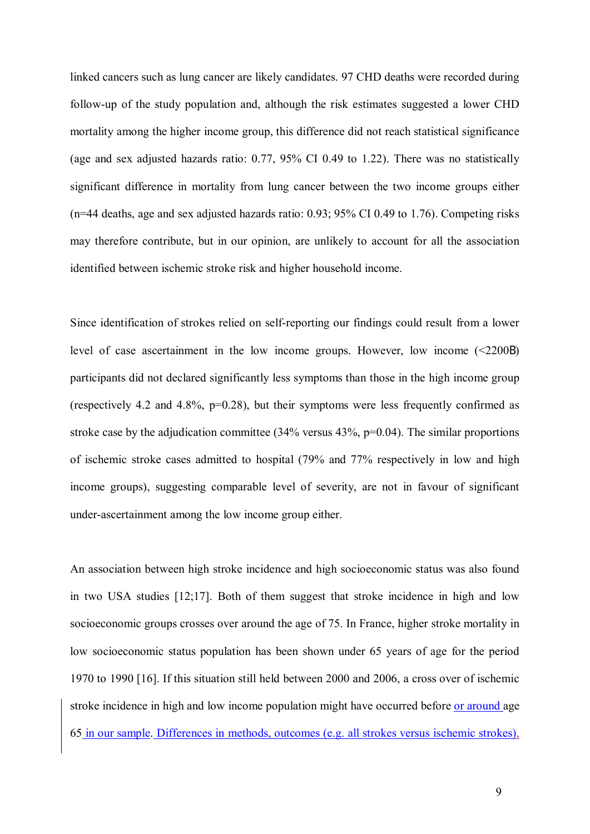linked cancers such as lung cancer are likely candidates. 97 CHD deaths were recorded during follow-up of the study population and, although the risk estimates suggested a lower CHD mortality among the higher income group, this difference did not reach statistical significance (age and sex adjusted hazards ratio: 0.77, 95% CI 0.49 to 1.22). There was no statistically significant difference in mortality from lung cancer between the two income groups either (n=44 deaths, age and sex adjusted hazards ratio: 0.93; 95% CI 0.49 to 1.76). Competing risks may therefore contribute, but in our opinion, are unlikely to account for all the association identified between ischemic stroke risk and higher household income.

Since identification of strokes relied on self-reporting our findings could result from a lower level of case ascertainment in the low income groups. However, low income (<2200€) participants did not declared significantly less symptoms than those in the high income group (respectively 4.2 and 4.8%, p=0.28), but their symptoms were less frequently confirmed as stroke case by the adjudication committee  $(34\%$  versus  $43\%$ , p=0.04). The similar proportions of ischemic stroke cases admitted to hospital (79% and 77% respectively in low and high income groups), suggesting comparable level of severity, are not in favour of significant under-ascertainment among the low income group either.

An association between high stroke incidence and high socioeconomic status was also found in two USA studies [12;17]. Both of them suggest that stroke incidence in high and low socioeconomic groups crosses over around the age of 75. In France, higher stroke mortality in low socioeconomic status population has been shown under 65 years of age for the period 1970 to 1990 [16]. If this situation still held between 2000 and 2006, a cross over of ischemic stroke incidence in high and low income population might have occurred before or around age 65 in our sample. Differences in methods, outcomes (e.g. all strokes versus ischemic strokes),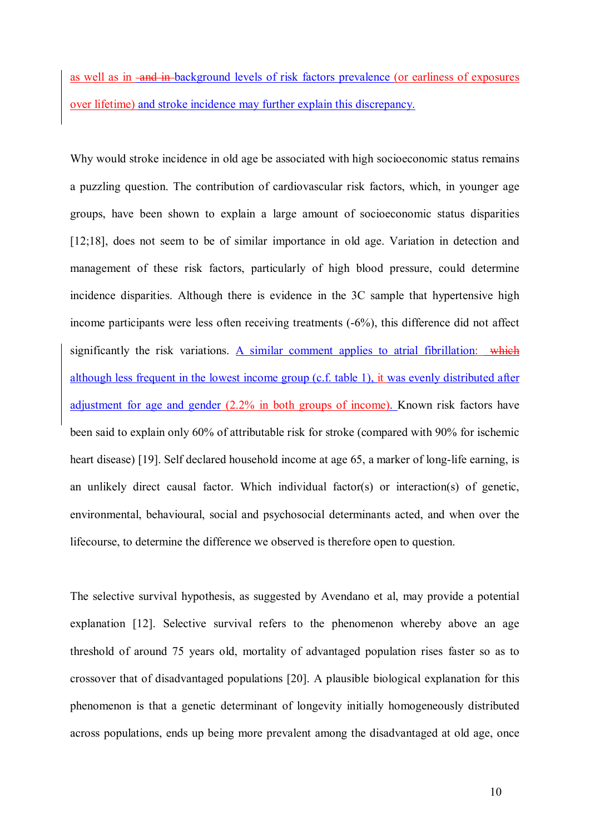as well as in -and in-background levels of risk factors prevalence (or earliness of exposures over lifetime) and stroke incidence may further explain this discrepancy.

Why would stroke incidence in old age be associated with high socioeconomic status remains a puzzling question. The contribution of cardiovascular risk factors, which, in younger age groups, have been shown to explain a large amount of socioeconomic status disparities [12;18], does not seem to be of similar importance in old age. Variation in detection and management of these risk factors, particularly of high blood pressure, could determine incidence disparities. Although there is evidence in the 3C sample that hypertensive high income participants were less often receiving treatments (-6%), this difference did not affect significantly the risk variations. A similar comment applies to atrial fibrillation: which although less frequent in the lowest income group (c.f. table 1), it was evenly distributed after adjustment for age and gender (2.2% in both groups of income). Known risk factors have been said to explain only 60% of attributable risk for stroke (compared with 90% for ischemic heart disease) [19]. Self declared household income at age 65, a marker of long-life earning, is an unlikely direct causal factor. Which individual factor(s) or interaction(s) of genetic, environmental, behavioural, social and psychosocial determinants acted, and when over the lifecourse, to determine the difference we observed is therefore open to question.

The selective survival hypothesis, as suggested by Avendano et al, may provide a potential explanation [12]. Selective survival refers to the phenomenon whereby above an age threshold of around 75 years old, mortality of advantaged population rises faster so as to crossover that of disadvantaged populations [20]. A plausible biological explanation for this phenomenon is that a genetic determinant of longevity initially homogeneously distributed across populations, ends up being more prevalent among the disadvantaged at old age, once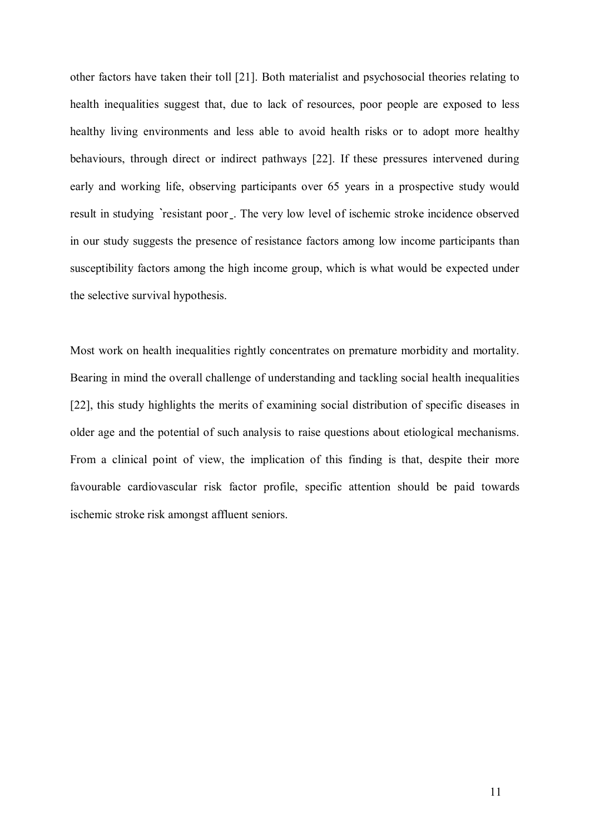other factors have taken their toll [21]. Both materialist and psychosocial theories relating to health inequalities suggest that, due to lack of resources, poor people are exposed to less healthy living environments and less able to avoid health risks or to adopt more healthy behaviours, through direct or indirect pathways [22]. If these pressures intervened during early and working life, observing participants over 65 years in a prospective study would result in studying 'resistant poor. The very low level of ischemic stroke incidence observed in our study suggests the presence of resistance factors among low income participants than susceptibility factors among the high income group, which is what would be expected under the selective survival hypothesis.

Most work on health inequalities rightly concentrates on premature morbidity and mortality. Bearing in mind the overall challenge of understanding and tackling social health inequalities [22], this study highlights the merits of examining social distribution of specific diseases in older age and the potential of such analysis to raise questions about etiological mechanisms. From a clinical point of view, the implication of this finding is that, despite their more favourable cardiovascular risk factor profile, specific attention should be paid towards ischemic stroke risk amongst affluent seniors.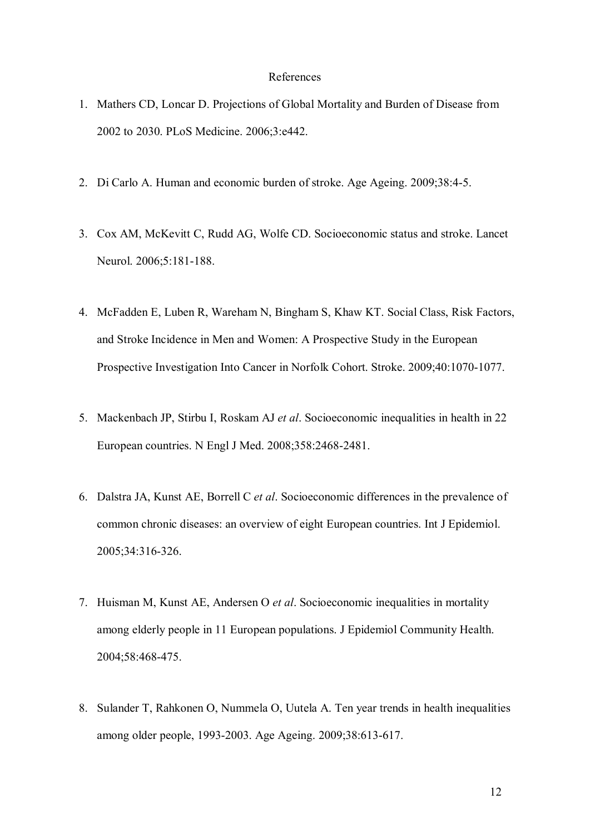#### References

- 1. Mathers CD, Loncar D. Projections of Global Mortality and Burden of Disease from 2002 to 2030. PLoS Medicine. 2006;3:e442.
- 2. Di Carlo A. Human and economic burden of stroke. Age Ageing. 2009;38:4-5.
- 3. Cox AM, McKevitt C, Rudd AG, Wolfe CD. Socioeconomic status and stroke. Lancet Neurol. 2006;5:181-188.
- 4. McFadden E, Luben R, Wareham N, Bingham S, Khaw KT. Social Class, Risk Factors, and Stroke Incidence in Men and Women: A Prospective Study in the European Prospective Investigation Into Cancer in Norfolk Cohort. Stroke. 2009;40:1070-1077.
- 5. Mackenbach JP, Stirbu I, Roskam AJ *et al*. Socioeconomic inequalities in health in 22 European countries. N Engl J Med. 2008;358:2468-2481.
- 6. Dalstra JA, Kunst AE, Borrell C *et al*. Socioeconomic differences in the prevalence of common chronic diseases: an overview of eight European countries. Int J Epidemiol. 2005;34:316-326.
- 7. Huisman M, Kunst AE, Andersen O *et al*. Socioeconomic inequalities in mortality among elderly people in 11 European populations. J Epidemiol Community Health. 2004;58:468-475.
- 8. Sulander T, Rahkonen O, Nummela O, Uutela A. Ten year trends in health inequalities among older people, 1993-2003. Age Ageing. 2009;38:613-617.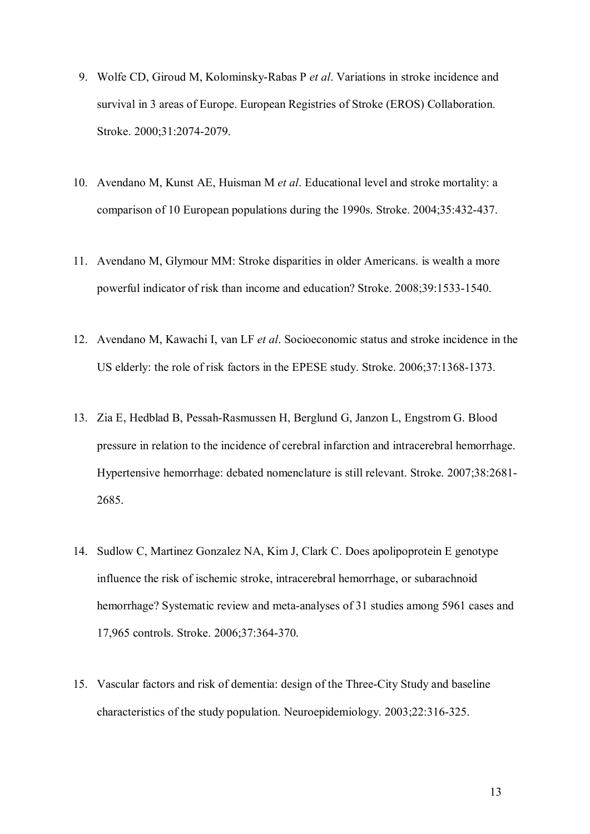- 9. Wolfe CD, Giroud M, Kolominsky-Rabas P *et al*. Variations in stroke incidence and survival in 3 areas of Europe. European Registries of Stroke (EROS) Collaboration. Stroke. 2000;31:2074-2079.
- 10. Avendano M, Kunst AE, Huisman M *et al*. Educational level and stroke mortality: a comparison of 10 European populations during the 1990s. Stroke. 2004;35:432-437.
- 11. Avendano M, Glymour MM: Stroke disparities in older Americans. is wealth a more powerful indicator of risk than income and education? Stroke. 2008;39:1533-1540.
- 12. Avendano M, Kawachi I, van LF *et al*. Socioeconomic status and stroke incidence in the US elderly: the role of risk factors in the EPESE study. Stroke. 2006;37:1368-1373.
- 13. Zia E, Hedblad B, Pessah-Rasmussen H, Berglund G, Janzon L, Engstrom G. Blood pressure in relation to the incidence of cerebral infarction and intracerebral hemorrhage. Hypertensive hemorrhage: debated nomenclature is still relevant. Stroke. 2007;38:2681- 2685.
- 14. Sudlow C, Martinez Gonzalez NA, Kim J, Clark C. Does apolipoprotein E genotype influence the risk of ischemic stroke, intracerebral hemorrhage, or subarachnoid hemorrhage? Systematic review and meta-analyses of 31 studies among 5961 cases and 17,965 controls. Stroke. 2006;37:364-370.
- 15. Vascular factors and risk of dementia: design of the Three-City Study and baseline characteristics of the study population. Neuroepidemiology. 2003;22:316-325.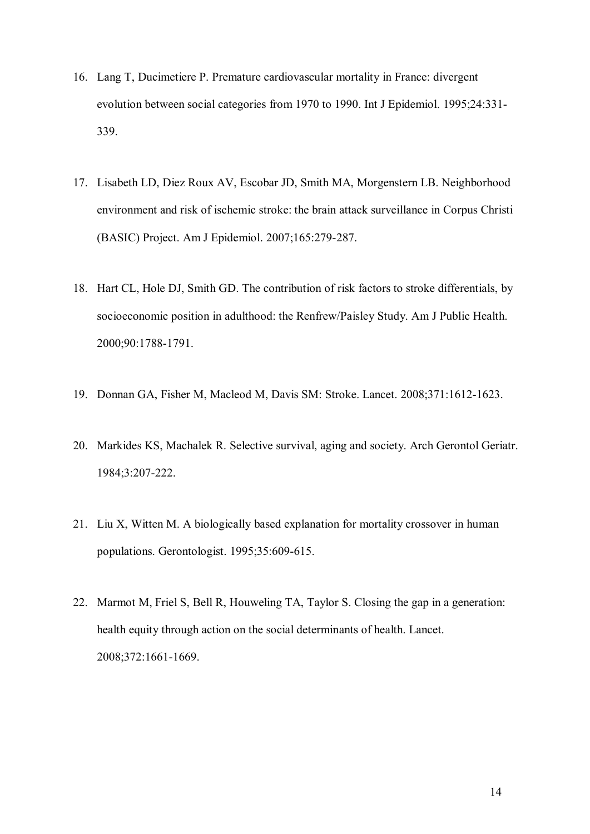- 16. Lang T, Ducimetiere P. Premature cardiovascular mortality in France: divergent evolution between social categories from 1970 to 1990. Int J Epidemiol. 1995;24:331- 339.
- 17. Lisabeth LD, Diez Roux AV, Escobar JD, Smith MA, Morgenstern LB. Neighborhood environment and risk of ischemic stroke: the brain attack surveillance in Corpus Christi (BASIC) Project. Am J Epidemiol. 2007;165:279-287.
- 18. Hart CL, Hole DJ, Smith GD. The contribution of risk factors to stroke differentials, by socioeconomic position in adulthood: the Renfrew/Paisley Study. Am J Public Health. 2000;90:1788-1791.
- 19. Donnan GA, Fisher M, Macleod M, Davis SM: Stroke. Lancet. 2008;371:1612-1623.
- 20. Markides KS, Machalek R. Selective survival, aging and society. Arch Gerontol Geriatr. 1984;3:207-222.
- 21. Liu X, Witten M. A biologically based explanation for mortality crossover in human populations. Gerontologist. 1995;35:609-615.
- 22. Marmot M, Friel S, Bell R, Houweling TA, Taylor S. Closing the gap in a generation: health equity through action on the social determinants of health. Lancet. 2008;372:1661-1669.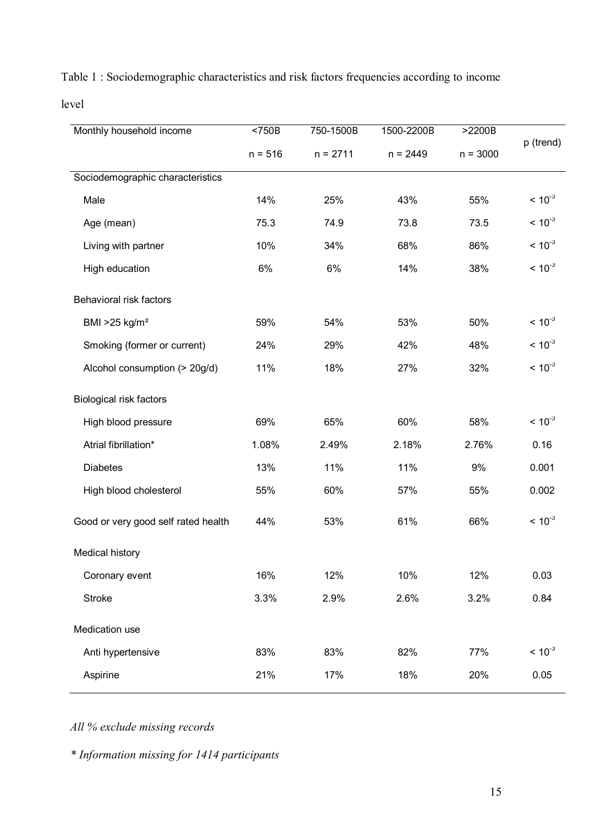| Monthly household income            | $750B$    | 750-1500B  | 1500-2200B | >2200B     |             |
|-------------------------------------|-----------|------------|------------|------------|-------------|
|                                     | $n = 516$ | $n = 2711$ | $n = 2449$ | $n = 3000$ | p (trend)   |
| Sociodemographic characteristics    |           |            |            |            |             |
| Male                                | 14%       | 25%        | 43%        | 55%        | $< 10^{-3}$ |
| Age (mean)                          | 75.3      | 74.9       | 73.8       | 73.5       | $< 10^{-3}$ |
| Living with partner                 | 10%       | 34%        | 68%        | 86%        | $~10^{-3}$  |
| High education                      | 6%        | 6%         | 14%        | 38%        | $< 10^{-3}$ |
| Behavioral risk factors             |           |            |            |            |             |
| BMI $>25$ kg/m <sup>2</sup>         | 59%       | 54%        | 53%        | 50%        | $< 10^{-3}$ |
| Smoking (former or current)         | 24%       | 29%        | 42%        | 48%        | $< 10^{-3}$ |
| Alcohol consumption (> 20g/d)       | 11%       | 18%        | 27%        | 32%        | $< 10^{-3}$ |
| <b>Biological risk factors</b>      |           |            |            |            |             |
| High blood pressure                 | 69%       | 65%        | 60%        | 58%        | $< 10^{-3}$ |
| Atrial fibrillation*                | 1.08%     | 2.49%      | 2.18%      | 2.76%      | 0.16        |
| <b>Diabetes</b>                     | 13%       | 11%        | 11%        | 9%         | 0.001       |
| High blood cholesterol              | 55%       | 60%        | 57%        | 55%        | 0.002       |
| Good or very good self rated health | 44%       | 53%        | 61%        | 66%        | $< 10^{-3}$ |
| Medical history                     |           |            |            |            |             |
| Coronary event                      | 16%       | 12%        | 10%        | 12%        | 0.03        |
| <b>Stroke</b>                       | 3.3%      | 2.9%       | 2.6%       | 3.2%       | 0.84        |
| Medication use                      |           |            |            |            |             |
| Anti hypertensive                   | 83%       | 83%        | 82%        | 77%        | $< 10^{-3}$ |
| Aspirine                            | 21%       | 17%        | 18%        | 20%        | 0.05        |

Table 1 : Sociodemographic characteristics and risk factors frequencies according to income

level

*All % exclude missing records* 

*\* Information missing for 1414 participants*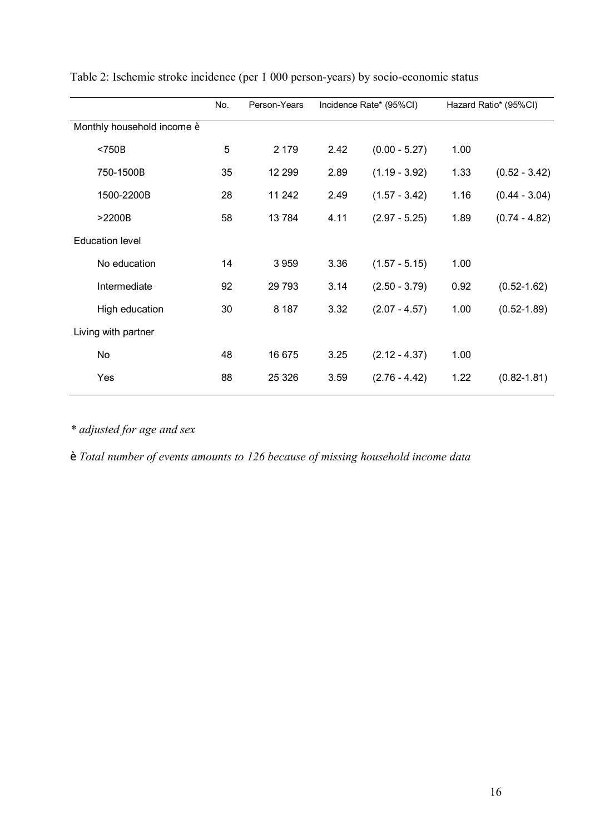|                            | No. | Person-Years | Incidence Rate* (95%CI) |                 | Hazard Ratio* (95%CI) |                 |
|----------------------------|-----|--------------|-------------------------|-----------------|-----------------------|-----------------|
| Monthly household income è |     |              |                         |                 |                       |                 |
| $<$ 750 $B$                | 5   | 2 1 7 9      | 2.42                    | $(0.00 - 5.27)$ | 1.00                  |                 |
| 750-1500B                  | 35  | 12 299       | 2.89                    | $(1.19 - 3.92)$ | 1.33                  | $(0.52 - 3.42)$ |
| 1500-2200B                 | 28  | 11 242       | 2.49                    | $(1.57 - 3.42)$ | 1.16                  | $(0.44 - 3.04)$ |
| >2200B                     | 58  | 13784        | 4.11                    | $(2.97 - 5.25)$ | 1.89                  | $(0.74 - 4.82)$ |
| <b>Education level</b>     |     |              |                         |                 |                       |                 |
| No education               | 14  | 3959         | 3.36                    | $(1.57 - 5.15)$ | 1.00                  |                 |
| Intermediate               | 92  | 29 7 93      | 3.14                    | $(2.50 - 3.79)$ | 0.92                  | $(0.52 - 1.62)$ |
| High education             | 30  | 8 1 8 7      | 3.32                    | $(2.07 - 4.57)$ | 1.00                  | $(0.52 - 1.89)$ |
| Living with partner        |     |              |                         |                 |                       |                 |
| No                         | 48  | 16 675       | 3.25                    | $(2.12 - 4.37)$ | 1.00                  |                 |
| Yes                        | 88  | 25 3 26      | 3.59                    | $(2.76 - 4.42)$ | 1.22                  | $(0.82 - 1.81)$ |
|                            |     |              |                         |                 |                       |                 |

Table 2: Ischemic stroke incidence (per 1 000 person-years) by socio-economic status

*\* adjusted for age and sex* 

† *Total number of events amounts to 126 because of missing household income data*